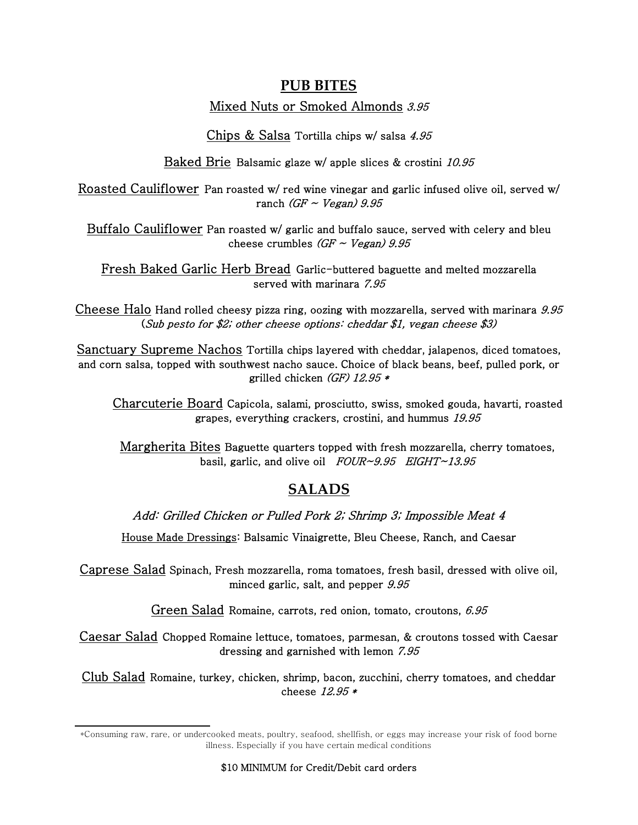## **PUB BITES**

## Mixed Nuts or Smoked Almonds 3.95

Chips & Salsa Tortilla chips w/ salsa 4.95

Baked Brie Balsamic glaze w/ apple slices & crostini 10.95

Roasted Cauliflower Pan roasted w/ red wine vinegar and garlic infused olive oil, served w/ ranch  $(GF \sim Vega)$  9.95

Buffalo Cauliflower Pan roasted w/ garlic and buffalo sauce, served with celery and bleu cheese crumbles  $(GF \sim Vega)$  9.95

Fresh Baked Garlic Herb Bread Garlic-buttered baguette and melted mozzarella served with marinara 7.95

Cheese Halo Hand rolled cheesy pizza ring, oozing with mozzarella, served with marinara 9.95 (Sub pesto for \$2; other cheese options: cheddar \$1, vegan cheese \$3)

Sanctuary Supreme Nachos Tortilla chips layered with cheddar, jalapenos, diced tomatoes, and corn salsa, topped with southwest nacho sauce. Choice of black beans, beef, pulled pork, or grilled chicken (GF)  $12.95*$ 

Charcuterie Board Capicola, salami, prosciutto, swiss, smoked gouda, havarti, roasted grapes, everything crackers, crostini, and hummus 19.95

Margherita Bites Baguette quarters topped with fresh mozzarella, cherry tomatoes, basil, garlic, and olive oil  $FOUR \sim 9.95$  EIGHT $\sim 13.95$ 

# **SALADS**

Add: Grilled Chicken or Pulled Pork 2; Shrimp 3; Impossible Meat 4

House Made Dressings: Balsamic Vinaigrette, Bleu Cheese, Ranch, and Caesar

Caprese Salad Spinach, Fresh mozzarella, roma tomatoes, fresh basil, dressed with olive oil, minced garlic, salt, and pepper  $9.95$ 

Green Salad Romaine, carrots, red onion, tomato, croutons, 6.95

Caesar Salad Chopped Romaine lettuce, tomatoes, parmesan, & croutons tossed with Caesar dressing and garnished with lemon 7.95

Club Salad Romaine, turkey, chicken, shrimp, bacon, zucchini, cherry tomatoes, and cheddar cheese 12.95 \*

<sup>\*</sup>Consuming raw, rare, or undercooked meats, poultry, seafood, shellfish, or eggs may increase your risk of food borne illness. Especially if you have certain medical conditions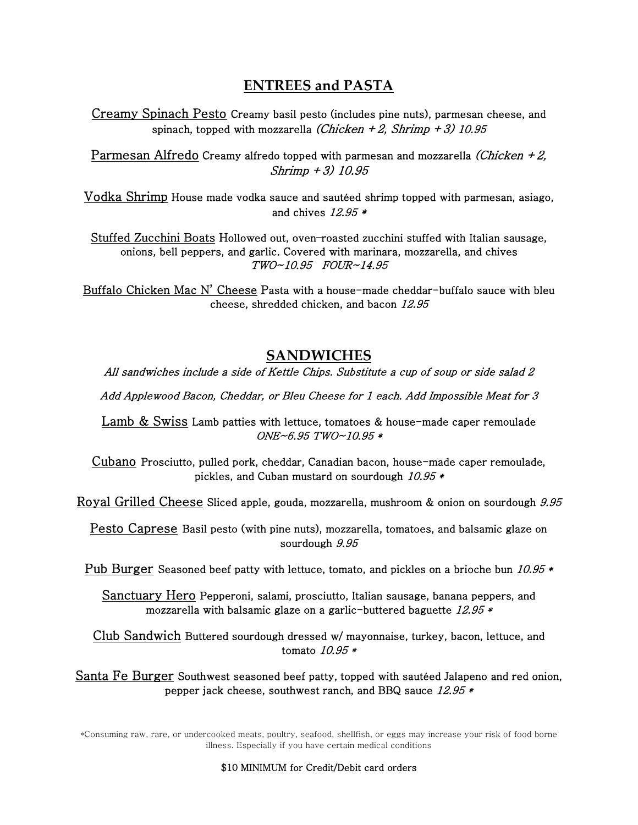## **ENTREES and PASTA**

Creamy Spinach Pesto Creamy basil pesto (includes pine nuts), parmesan cheese, and spinach, topped with mozzarella (Chicken + 2, Shrimp + 3) 10.95

Parmesan Alfredo Creamy alfredo topped with parmesan and mozzarella *(Chicken + 2,* Shrimp +3) 10.95

Vodka Shrimp House made vodka sauce and sautéed shrimp topped with parmesan, asiago, and chives  $12.95*$ 

Stuffed Zucchini Boats Hollowed out, oven–roasted zucchini stuffed with Italian sausage, onions, bell peppers, and garlic. Covered with marinara, mozzarella, and chives TWO~10.95 FOUR~14.95

Buffalo Chicken Mac N' Cheese Pasta with a house-made cheddar-buffalo sauce with bleu cheese, shredded chicken, and bacon 12.95

## **SANDWICHES**

All sandwiches include a side of Kettle Chips. Substitute a cup of soup or side salad 2

Add Applewood Bacon, Cheddar, or Bleu Cheese for 1 each. Add Impossible Meat for 3

Lamb & Swiss Lamb patties with lettuce, tomatoes & house-made caper remoulade ONE~6.95 TWO~10.95 \*

Cubano Prosciutto, pulled pork, cheddar, Canadian bacon, house-made caper remoulade, pickles, and Cuban mustard on sourdough 10.95 \*

Royal Grilled Cheese Sliced apple, gouda, mozzarella, mushroom & onion on sourdough 9.95

Pesto Caprese Basil pesto (with pine nuts), mozzarella, tomatoes, and balsamic glaze on sourdough  $9.95$ 

Pub Burger Seasoned beef patty with lettuce, tomato, and pickles on a brioche bun 10.95  $*$ 

Sanctuary Hero Pepperoni, salami, prosciutto, Italian sausage, banana peppers, and mozzarella with balsamic glaze on a garlic-buttered baguette  $12.95*$ 

Club Sandwich Buttered sourdough dressed w/ mayonnaise, turkey, bacon, lettuce, and tomato 10.95 \*

Santa Fe Burger Southwest seasoned beef patty, topped with sautéed Jalapeno and red onion, pepper jack cheese, southwest ranch, and BBQ sauce 12.95 \*

\*Consuming raw, rare, or undercooked meats, poultry, seafood, shellfish, or eggs may increase your risk of food borne illness. Especially if you have certain medical conditions

#### \$10 MINIMUM for Credit/Debit card orders